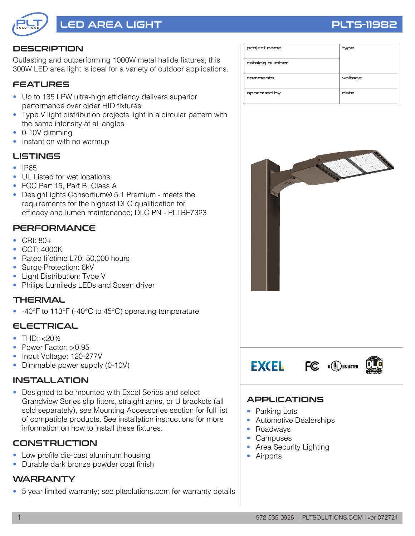

# LED AREA LIGHT PLTS-11982

### **DESCRIPTION**

Outlasting and outperforming 1000W metal halide fixtures, this 300W LED area light is ideal for a variety of outdoor applications.

#### **FEATURES**

- Up to 135 LPW ultra-high efficiency delivers superior performance over older HID fixtures
- Type V light distribution projects light in a circular pattern with the same intensity at all angles
- 0-10V dimming
- Instant on with no warmup

#### LISTINGS

- **IP65**
- UL Listed for wet locations
- FCC Part 15, Part B, Class A
- DesignLights Consortium® 5.1 Premium meets the requirements for the highest DLC qualification for efficacy and lumen maintenance; DLC PN - PLTBF7323

#### **PERFORMANCE**

- CRI: 80+
- CCT: 4000K
- Rated lifetime L70: 50,000 hours
- Surge Protection: 6kV
- Light Distribution: Type V
- Philips Lumileds LEDs and Sosen driver

#### **THERMAL**

• -40°F to 113°F (-40°C to 45°C) operating temperature

#### ELECTRICAL

- THD: <20%
- Power Factor: >0.95
- Input Voltage: 120-277V
- Dimmable power supply (0-10V)

#### INSTALLATION

• Designed to be mounted with Excel Series and select Grandview Series slip fitters, straight arms, or U brackets (all sold separately), see Mounting Accessories section for full list of compatible products. See installation instructions for more information on how to install these fixtures.

#### **CONSTRUCTION**

- Low profile die-cast aluminum housing
- Durable dark bronze powder coat finish

#### **WARRANTY**

• 5 year limited warranty; see pltsolutions.com for warranty details

| project name   | type    |
|----------------|---------|
| catalog number |         |
| comments       | voltage |
| approved by    | date    |



#### APPLICATIONS

- Parking Lots
- Automotive Dealerships
- Roadways
- Campuses
- Area Security Lighting
- **Airports**